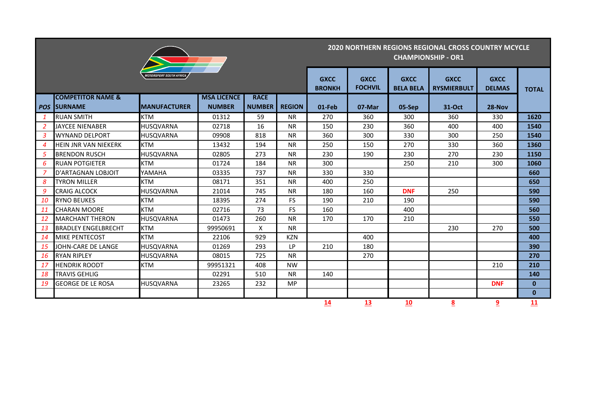|                  |                              |                                |                    |               |               |                              |                               |                                 | <b>2020 NORTHERN REGIONS REGIONAL CROSS COUNTRY MCYCLE</b><br><b>CHAMPIONSHIP - OR1</b> |                              |              |
|------------------|------------------------------|--------------------------------|--------------------|---------------|---------------|------------------------------|-------------------------------|---------------------------------|-----------------------------------------------------------------------------------------|------------------------------|--------------|
|                  |                              | <b>MOTORSPORT SOUTH AFRICA</b> |                    |               |               | <b>GXCC</b><br><b>BRONKH</b> | <b>GXCC</b><br><b>FOCHVIL</b> | <b>GXCC</b><br><b>BELA BELA</b> | <b>GXCC</b><br><b>RYSMIERBULT</b>                                                       | <b>GXCC</b><br><b>DELMAS</b> | <b>TOTAL</b> |
|                  | <b>COMPETITOR NAME &amp;</b> |                                | <b>MSA LICENCE</b> | <b>RACE</b>   |               |                              |                               |                                 |                                                                                         |                              |              |
|                  | POS SURNAME                  | <b>IMANUFACTURER</b>           | <b>NUMBER</b>      | <b>NUMBER</b> | <b>REGION</b> | 01-Feb                       | 07-Mar                        | 05-Sep                          | 31-Oct                                                                                  | 28-Nov                       |              |
| $\mathbf{1}$     | <b>RUAN SMITH</b>            | <b>KTM</b>                     | 01312              | 59            | <b>NR</b>     | 270                          | 360                           | 300                             | 360                                                                                     | 330                          | 1620         |
| 2                | <b>JAYCEE NIENABER</b>       | <b>HUSQVARNA</b>               | 02718              | 16            | <b>NR</b>     | 150                          | 230                           | 360                             | 400                                                                                     | 400                          | 1540         |
| $\mathbf{3}$     | <b>WYNAND DELPORT</b>        | <b>HUSQVARNA</b>               | 09908              | 818           | <b>NR</b>     | 360                          | 300                           | 330                             | 300                                                                                     | 250                          | 1540         |
| $\boldsymbol{4}$ | HEIN JNR VAN NIEKERK         | <b>KTM</b>                     | 13432              | 194           | <b>NR</b>     | 250                          | 150                           | 270                             | 330                                                                                     | 360                          | 1360         |
| 5                | <b>BRENDON RUSCH</b>         | <b>HUSQVARNA</b>               | 02805              | 273           | <b>NR</b>     | 230                          | 190                           | 230                             | 270                                                                                     | 230                          | 1150         |
| 6                | <b>RUAN POTGIETER</b>        | <b>KTM</b>                     | 01724              | 184           | <b>NR</b>     | 300                          |                               | 250                             | 210                                                                                     | 300                          | 1060         |
| 7                | D'ARTAGNAN LOBJOIT           | YAMAHA                         | 03335              | 737           | <b>NR</b>     | 330                          | 330                           |                                 |                                                                                         |                              | 660          |
| 8                | <b>TYRON MILLER</b>          | <b>KTM</b>                     | 08171              | 351           | <b>NR</b>     | 400                          | 250                           |                                 |                                                                                         |                              | 650          |
| 9                | <b>CRAIG ALCOCK</b>          | <b>HUSQVARNA</b>               | 21014              | 745           | <b>NR</b>     | 180                          | 160                           | <b>DNF</b>                      | 250                                                                                     |                              | 590          |
| 10               | <b>RYNO BEUKES</b>           | <b>KTM</b>                     | 18395              | 274           | FS.           | 190                          | 210                           | 190                             |                                                                                         |                              | 590          |
| 11               | <b>CHARAN MOORE</b>          | <b>KTM</b>                     | 02716              | 73            | <b>FS</b>     | 160                          |                               | 400                             |                                                                                         |                              | 560          |
| <b>12</b>        | <b>MARCHANT THERON</b>       | <b>HUSQVARNA</b>               | 01473              | 260           | <b>NR</b>     | 170                          | 170                           | 210                             |                                                                                         |                              | 550          |
| 13               | <b>BRADLEY ENGELBRECHT</b>   | <b>KTM</b>                     | 99950691           | X             | <b>NR</b>     |                              |                               |                                 | 230                                                                                     | 270                          | 500          |
| 14               | <b>MIKE PENTECOST</b>        | <b>KTM</b>                     | 22106              | 929           | <b>KZN</b>    |                              | 400                           |                                 |                                                                                         |                              | 400          |
| 15               | JOHN-CARE DE LANGE           | <b>HUSQVARNA</b>               | 01269              | 293           | LP.           | 210                          | 180                           |                                 |                                                                                         |                              | 390          |
| 16               | <b>RYAN RIPLEY</b>           | <b>HUSQVARNA</b>               | 08015              | 725           | <b>NR</b>     |                              | 270                           |                                 |                                                                                         |                              | 270          |
| 17               | <b>HENDRIK ROODT</b>         | <b>KTM</b>                     | 99951321           | 408           | <b>NW</b>     |                              |                               |                                 |                                                                                         | 210                          | 210          |
| 18               | <b>TRAVIS GEHLIG</b>         |                                | 02291              | 510           | <b>NR</b>     | 140                          |                               |                                 |                                                                                         |                              | 140          |
| 19               | <b>GEORGE DE LE ROSA</b>     | <b>HUSQVARNA</b>               | 23265              | 232           | <b>MP</b>     |                              |                               |                                 |                                                                                         | <b>DNF</b>                   | $\mathbf{0}$ |
|                  |                              |                                |                    |               |               |                              |                               |                                 |                                                                                         |                              | $\mathbf{0}$ |
|                  |                              |                                |                    |               |               | 14                           | 13                            | 10                              | 8                                                                                       | <u>9</u>                     | 11           |

and the control of the control of the control of the control of the control of the control of the control of the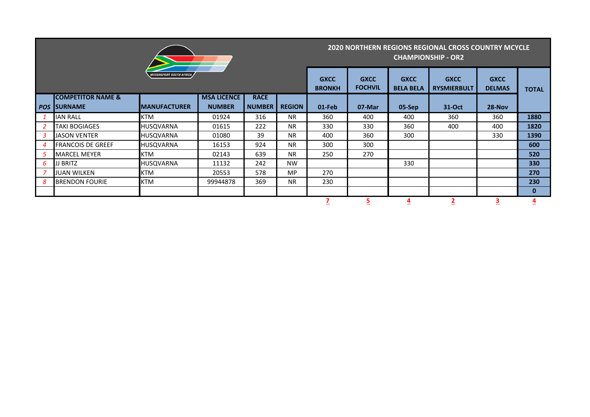|                |                              |                                       |                    |               | <b>2020 NORTHERN REGIONS REGIONAL CROSS COUNTRY MCYCLE</b><br><b>CHAMPIONSHIP - OR2</b> |                              |                               |                                 |                                   |                              |              |
|----------------|------------------------------|---------------------------------------|--------------------|---------------|-----------------------------------------------------------------------------------------|------------------------------|-------------------------------|---------------------------------|-----------------------------------|------------------------------|--------------|
|                |                              | <i><b>MOTORSPORT SOUTH AFRICA</b></i> |                    |               |                                                                                         | <b>GXCC</b><br><b>BRONKH</b> | <b>GXCC</b><br><b>FOCHVIL</b> | <b>GXCC</b><br><b>BELA BELA</b> | <b>GXCC</b><br><b>RYSMIERBULT</b> | <b>GXCC</b><br><b>DELMAS</b> | <b>TOTAL</b> |
|                | <b>COMPETITOR NAME &amp;</b> |                                       | <b>MSA LICENCE</b> | <b>RACE</b>   |                                                                                         |                              |                               |                                 |                                   |                              |              |
| <b>POS</b>     | <b>ISURNAME</b>              | <b>IMANUFACTURER</b>                  | <b>NUMBER</b>      | <b>NUMBER</b> | <b>REGION</b>                                                                           | 01-Feb                       | 07-Mar                        | 05-Sep                          | 31-Oct                            | $28-Nov$                     |              |
|                | <b>IAN RALL</b>              | <b>KTM</b>                            | 01924              | 316           | <b>NR</b>                                                                               | 360                          | 400                           | 400                             | 360                               | 360                          | 1880         |
| 2              | <b>TAKI BOGIAGES</b>         | <b>HUSQVARNA</b>                      | 01615              | 222           | <b>NR</b>                                                                               | 330                          | 330                           | 360                             | 400                               | 400                          | 1820         |
| 3              | <b>JASON VENTER</b>          | <b>HUSQVARNA</b>                      | 01080              | 39            | <b>NR</b>                                                                               | 400                          | 360                           | 300                             |                                   | 330                          | 1390         |
| $\overline{4}$ | <b>FRANCOIS DE GREEF</b>     | <b>HUSOVARNA</b>                      | 16153              | 924           | <b>NR</b>                                                                               | 300                          | 300                           |                                 |                                   |                              | 600          |
| 5              | <b>MARCEL MEYER</b>          | <b>KTM</b>                            | 02143              | 639           | <b>NR</b>                                                                               | 250                          | 270                           |                                 |                                   |                              | 520          |
| 6              | JJ BRITZ                     | <b>HUSQVARNA</b>                      | 11132              | 242           | <b>NW</b>                                                                               |                              |                               | 330                             |                                   |                              | 330          |
| $\overline{z}$ | <b>JUAN WILKEN</b>           | <b>KTM</b>                            | 20553              | 578           | <b>MP</b>                                                                               | 270                          |                               |                                 |                                   |                              | 270          |
| 8              | <b>BRENDON FOURIE</b>        | <b>KTM</b>                            | 99944878           | 369           | <b>NR</b>                                                                               | 230                          |                               |                                 |                                   |                              | 230          |
|                |                              |                                       |                    |               |                                                                                         |                              |                               |                                 |                                   |                              | $\bf{0}$     |
|                |                              |                                       |                    |               |                                                                                         |                              | 5                             | $\overline{4}$                  | $\overline{\mathbf{2}}$           | з                            | <u>4</u>     |

,他们的人们就是一个人的人,他们的人们就是一个人的人,他们的人们就是一个人的人,他们的人们就是一个人的人,他们的人们就是一个人的人,他们的人们就是一个人的人,他们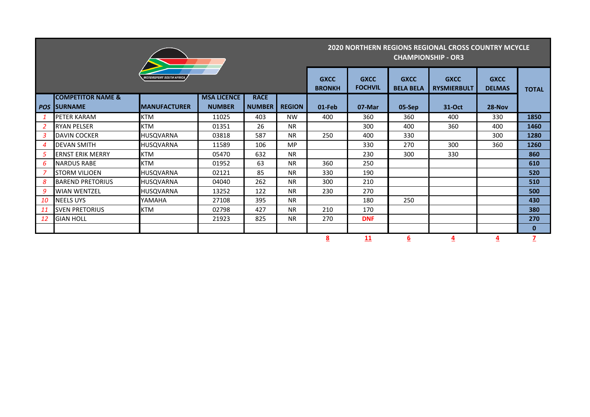|           |                              |                                       |                    | <b>2020 NORTHERN REGIONS REGIONAL CROSS COUNTRY MCYCLE</b><br><b>CHAMPIONSHIP - OR3</b> |               |                              |                               |                                 |                                   |                              |              |
|-----------|------------------------------|---------------------------------------|--------------------|-----------------------------------------------------------------------------------------|---------------|------------------------------|-------------------------------|---------------------------------|-----------------------------------|------------------------------|--------------|
|           |                              | <i><b>MOTORSPORT SOUTH AFRICA</b></i> |                    |                                                                                         |               | <b>GXCC</b><br><b>BRONKH</b> | <b>GXCC</b><br><b>FOCHVIL</b> | <b>GXCC</b><br><b>BELA BELA</b> | <b>GXCC</b><br><b>RYSMIERBULT</b> | <b>GXCC</b><br><b>DELMAS</b> | <b>TOTAL</b> |
|           | <b>COMPETITOR NAME &amp;</b> |                                       | <b>MSA LICENCE</b> | <b>RACE</b>                                                                             |               |                              |                               |                                 |                                   |                              |              |
|           | <b>POS SURNAME</b>           | <b>IMANUFACTURER</b>                  | <b>NUMBER</b>      | <b>NUMBER</b>                                                                           | <b>REGION</b> | 01-Feb                       | 07-Mar                        | 05-Sep                          | 31-Oct                            | 28-Nov                       |              |
|           | <b>PETER KARAM</b>           | <b>KTM</b>                            | 11025              | 403                                                                                     | <b>NW</b>     | 400                          | 360                           | 360                             | 400                               | 330                          | 1850         |
| 2         | <b>RYAN PELSER</b>           | <b>KTM</b>                            | 01351              | 26                                                                                      | <b>NR</b>     |                              | 300                           | 400                             | 360                               | 400                          | 1460         |
| 3         | <b>DAVIN COCKER</b>          | <b>HUSQVARNA</b>                      | 03818              | 587                                                                                     | <b>NR</b>     | 250                          | 400                           | 330                             |                                   | 300                          | 1280         |
| 4         | <b>DEVAN SMITH</b>           | <b>HUSQVARNA</b>                      | 11589              | 106                                                                                     | <b>MP</b>     |                              | 330                           | 270                             | 300                               | 360                          | 1260         |
| 5         | <b>ERNST ERIK MERRY</b>      | <b>KTM</b>                            | 05470              | 632                                                                                     | <b>NR</b>     |                              | 230                           | 300                             | 330                               |                              | 860          |
| 6         | <b>NARDUS RABE</b>           | <b>KTM</b>                            | 01952              | 63                                                                                      | <b>NR</b>     | 360                          | 250                           |                                 |                                   |                              | 610          |
| 7         | <b>STORM VILJOEN</b>         | <b>HUSQVARNA</b>                      | 02121              | 85                                                                                      | <b>NR</b>     | 330                          | 190                           |                                 |                                   |                              | 520          |
| 8         | <b>BAREND PRETORIUS</b>      | <b>HUSQVARNA</b>                      | 04040              | 262                                                                                     | <b>NR</b>     | 300                          | 210                           |                                 |                                   |                              | 510          |
| 9         | <b>WIAN WENTZEL</b>          | <b>HUSQVARNA</b>                      | 13252              | 122                                                                                     | <b>NR</b>     | 230                          | 270                           |                                 |                                   |                              | 500          |
| 10        | <b>NEELS UYS</b>             | YAMAHA                                | 27108              | 395                                                                                     | <b>NR</b>     |                              | 180                           | 250                             |                                   |                              | 430          |
| 11        | <b>SVEN PRETORIUS</b>        | <b>KTM</b>                            | 02798              | 427                                                                                     | <b>NR</b>     | 210                          | 170                           |                                 |                                   |                              | 380          |
| <b>12</b> | <b>GIAN HOLL</b>             |                                       | 21923              | 825                                                                                     | <b>NR</b>     | 270                          | <b>DNF</b>                    |                                 |                                   |                              | 270          |
|           |                              |                                       |                    |                                                                                         |               |                              |                               |                                 |                                   |                              | $\mathbf{0}$ |
|           |                              |                                       |                    |                                                                                         |               | 8                            | 11                            | 6                               | 4                                 |                              | 7            |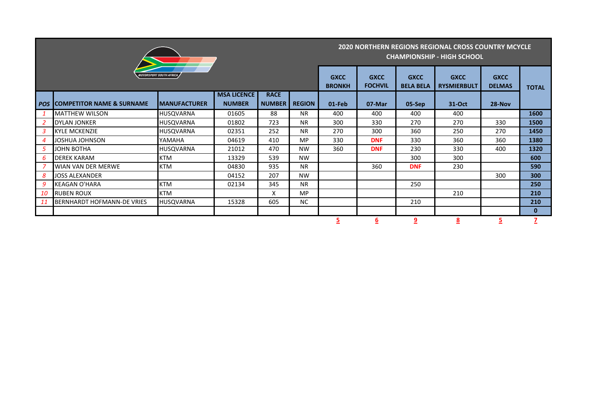

## **2020 NORTHERN REGIONS REGIONAL CROSS COUNTRY MCYCLE CHAMPIONSHIP - HIGH SCHOOL**

|            | <b>MOTORSPORT SOUTH AFRICA</b>       | <b>GXCC</b><br><b>BRONKH</b> | <b>GXCC</b><br><b>FOCHVIL</b>       | <b>GXCC</b><br><b>BELA BELA</b> | <b>GXCC</b><br><b>RYSMIERBULT</b> | <b>GXCC</b><br><b>DELMAS</b> | <b>TOTAL</b> |            |        |        |          |
|------------|--------------------------------------|------------------------------|-------------------------------------|---------------------------------|-----------------------------------|------------------------------|--------------|------------|--------|--------|----------|
| <b>POS</b> | <b>COMPETITOR NAME &amp; SURNAME</b> | <b>MANUFACTURER</b>          | <b>MSA LICENCE</b><br><b>NUMBER</b> | <b>RACE</b><br><b>NUMBER</b>    | <b>REGION</b>                     | 01-Feb                       | 07-Mar       | $05-Sep$   | 31-Oct | 28-Nov |          |
|            | <b>MATTHEW WILSON</b>                | <b>HUSQVARNA</b>             | 01605                               | 88                              | <b>NR</b>                         | 400                          | 400          | 400        | 400    |        | 1600     |
| 2          | DYLAN JONKER                         | <b>HUSOVARNA</b>             | 01802                               | 723                             | <b>NR</b>                         | 300                          | 330          | 270        | 270    | 330    | 1500     |
| 3          | <b>IKYLE MCKENZIE</b>                | <b>HUSQVARNA</b>             | 02351                               | 252                             | <b>NR</b>                         | 270                          | 300          | 360        | 250    | 270    | 1450     |
| 4          | JOSHUA JOHNSON                       | YAMAHA                       | 04619                               | 410                             | MP                                | 330                          | <b>DNF</b>   | 330        | 360    | 360    | 1380     |
| 5          | <b>JOHN BOTHA</b>                    | <b>HUSOVARNA</b>             | 21012                               | 470                             | <b>NW</b>                         | 360                          | <b>DNF</b>   | 230        | 330    | 400    | 1320     |
| 6          | <b>DEREK KARAM</b>                   | <b>KTM</b>                   | 13329                               | 539                             | <b>NW</b>                         |                              |              | 300        | 300    |        | 600      |
|            | <b>WIAN VAN DER MERWE</b>            | <b>KTM</b>                   | 04830                               | 935                             | <b>NR</b>                         |                              | 360          | <b>DNF</b> | 230    |        | 590      |
| 8          | <b>JOSS ALEXANDER</b>                |                              | 04152                               | 207                             | <b>NW</b>                         |                              |              |            |        | 300    | 300      |
| 9          | <b>KEAGAN O'HARA</b>                 | <b>KTM</b>                   | 02134                               | 345                             | <b>NR</b>                         |                              |              | 250        |        |        | 250      |
| 10         | <b>RUBEN ROUX</b>                    | <b>KTM</b>                   |                                     | X                               | <b>MP</b>                         |                              |              |            | 210    |        | 210      |
| -11        | BERNHARDT HOFMANN-DE VRIES           | <b>HUSQVARNA</b>             | 15328                               | 605                             | <b>NC</b>                         |                              |              | 210        |        |        | 210      |
|            |                                      |                              |                                     |                                 |                                   |                              |              |            |        |        | $\bf{0}$ |
|            |                                      |                              |                                     |                                 |                                   | <u>כ</u>                     | ь            |            | 8      | 5      |          |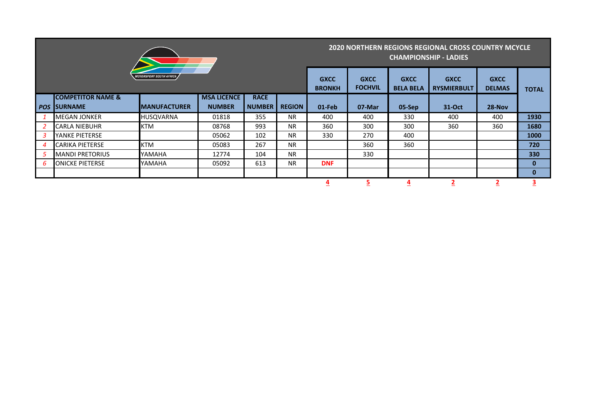|            |                               |                                | <b>2020 NORTHERN REGIONS REGIONAL CROSS COUNTRY MCYCLE</b><br><b>CHAMPIONSHIP - LADIES</b> |                               |                                 |                                   |                              |              |        |          |          |
|------------|-------------------------------|--------------------------------|--------------------------------------------------------------------------------------------|-------------------------------|---------------------------------|-----------------------------------|------------------------------|--------------|--------|----------|----------|
|            |                               | <i>MOTORSPORT SOUTH AFRICA</i> | <b>GXCC</b><br><b>BRONKH</b>                                                               | <b>GXCC</b><br><b>FOCHVIL</b> | <b>GXCC</b><br><b>BELA BELA</b> | <b>GXCC</b><br><b>RYSMIERBULT</b> | <b>GXCC</b><br><b>DELMAS</b> | <b>TOTAL</b> |        |          |          |
|            | <b>ICOMPETITOR NAME &amp;</b> |                                | <b>MSA LICENCE</b>                                                                         | <b>RACE</b>                   |                                 |                                   |                              |              |        |          |          |
| <b>POS</b> | <b>ISURNAME</b>               | <b>MANUFACTURER</b>            | <b>NUMBER</b>                                                                              | <b>NUMBER</b>                 | <b>REGION</b>                   | 01-Feb                            | 07-Mar                       | 05-Sep       | 31-Oct | $28-Nov$ |          |
|            | <b>IMEGAN JONKER</b>          | <b>HUSQVARNA</b>               | 01818                                                                                      | 355                           | <b>NR</b>                       | 400                               | 400                          | 330          | 400    | 400      | 1930     |
|            | CARLA NIEBUHR                 | <b>KTM</b>                     | 08768                                                                                      | 993                           | <b>NR</b>                       | 360                               | 300                          | 300          | 360    | 360      | 1680     |
| 3          | lYANKE PIETERSE               |                                | 05062                                                                                      | 102                           | <b>NR</b>                       | 330                               | 270                          | 400          |        |          | 1000     |
| 4          | CARIKA PIETERSE               | <b>KTM</b>                     | 05083                                                                                      | 267                           | <b>NR</b>                       |                                   | 360                          | 360          |        |          | 720      |
| 5          | <b>MANDI PRETORIUS</b>        | YAMAHA                         | 12774                                                                                      | 104                           | <b>NR</b>                       |                                   | 330                          |              |        |          | 330      |
| 6          | <b>JONICKE PIETERSE</b>       | YAMAHA                         | 05092                                                                                      | 613                           | <b>NR</b>                       | <b>DNF</b>                        |                              |              |        |          | $\bf{0}$ |
|            |                               |                                |                                                                                            |                               |                                 |                                   |                              |              |        |          | 0        |
|            |                               |                                |                                                                                            |                               |                                 | <u>4</u>                          | <u>5</u>                     | <u>4</u>     |        |          | <u>3</u> |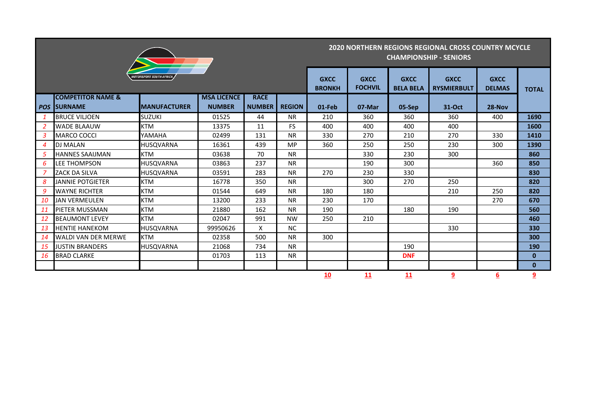| MOTORSPORT SOUTH AFRICA $\boldsymbol{A}$ |  |
|------------------------------------------|--|

## **2020 NORTHERN REGIONS REGIONAL CROSS COUNTRY MCYCLE CHAMPIONSHIP - SENIORS**

**The Common State** 

المنابذ

and the company of the company

|                |                                                | MOTORSPORT SOUTH AFRICA |                                     |                              |               | <b>GXCC</b><br><b>BRONKH</b> | <b>GXCC</b><br><b>FOCHVIL</b> | <b>GXCC</b><br><b>BELA BELA</b> | <b>GXCC</b><br><b>RYSMIERBULT</b> | <b>GXCC</b><br><b>DELMAS</b> | <b>TOTAL</b>   |
|----------------|------------------------------------------------|-------------------------|-------------------------------------|------------------------------|---------------|------------------------------|-------------------------------|---------------------------------|-----------------------------------|------------------------------|----------------|
| <b>POS</b>     | <b>COMPETITOR NAME &amp;</b><br><b>SURNAME</b> | <b>MANUFACTURER</b>     | <b>MSA LICENCE</b><br><b>NUMBER</b> | <b>RACE</b><br><b>NUMBER</b> | <b>REGION</b> | 01-Feb                       | 07-Mar                        | 05-Sep                          | 31-Oct                            | 28-Nov                       |                |
| $\mathbf{1}$   | <b>BRUCE VILJOEN</b>                           | <b>SUZUKI</b>           | 01525                               | 44                           | <b>NR</b>     | 210                          | 360                           | 360                             | 360                               | 400                          | 1690           |
| 2              | <b>WADE BLAAUW</b>                             | <b>KTM</b>              | 13375                               | 11                           | <b>FS</b>     | 400                          | 400                           | 400                             | 400                               |                              | 1600           |
| 3              | <b>MARCO COCCI</b>                             | YAMAHA                  | 02499                               | 131                          | <b>NR</b>     | 330                          | 270                           | 210                             | 270                               | 330                          | 1410           |
| $\overline{4}$ | <b>DJ MALAN</b>                                | <b>HUSQVARNA</b>        | 16361                               | 439                          | <b>MP</b>     | 360                          | 250                           | 250                             | 230                               | 300                          | 1390           |
| 5              | <b>HANNES SAAIJMAN</b>                         | <b>KTM</b>              | 03638                               | 70                           | <b>NR</b>     |                              | 330                           | 230                             | 300                               |                              | 860            |
| 6              | LEE THOMPSON                                   | <b>HUSQVARNA</b>        | 03863                               | 237                          | <b>NR</b>     |                              | 190                           | 300                             |                                   | 360                          | 850            |
| 7              | ZACK DA SILVA                                  | <b>HUSQVARNA</b>        | 03591                               | 283                          | <b>NR</b>     | 270                          | 230                           | 330                             |                                   |                              | 830            |
| 8              | <b>JANNIE POTGIETER</b>                        | <b>KTM</b>              | 16778                               | 350                          | <b>NR</b>     |                              | 300                           | 270                             | 250                               |                              | 820            |
| 9              | <b>WAYNE RICHTER</b>                           | <b>KTM</b>              | 01544                               | 649                          | <b>NR</b>     | 180                          | 180                           |                                 | 210                               | 250                          | 820            |
| 10             | <b>JAN VERMEULEN</b>                           | <b>KTM</b>              | 13200                               | 233                          | <b>NR</b>     | 230                          | 170                           |                                 |                                   | 270                          | 670            |
| <b>11</b>      | PIETER MUSSMAN                                 | <b>KTM</b>              | 21880                               | 162                          | <b>NR</b>     | 190                          |                               | 180                             | 190                               |                              | 560            |
| <b>12</b>      | <b>BEAUMONT LEVEY</b>                          | <b>KTM</b>              | 02047                               | 991                          | <b>NW</b>     | 250                          | 210                           |                                 |                                   |                              | 460            |
| 13             | <b>HENTIE HANEKOM</b>                          | <b>HUSQVARNA</b>        | 99950626                            | X                            | <b>NC</b>     |                              |                               |                                 | 330                               |                              | 330            |
| 14             | <b>WALDI VAN DER MERWE</b>                     | <b>KTM</b>              | 02358                               | 500                          | <b>NR</b>     | 300                          |                               |                                 |                                   |                              | 300            |
| 15             | <b>JUSTIN BRANDERS</b>                         | <b>HUSQVARNA</b>        | 21068                               | 734                          | <b>NR</b>     |                              |                               | 190                             |                                   |                              | 190            |
| -16            | <b>BRAD CLARKE</b>                             |                         | 01703                               | 113                          | <b>NR</b>     |                              |                               | <b>DNF</b>                      |                                   |                              | $\bf{0}$       |
|                |                                                |                         |                                     |                              |               |                              |                               |                                 |                                   |                              | $\bf{0}$       |
|                |                                                |                         |                                     |                              |               | 10                           | 11                            | 11                              | 9                                 | 6                            | $\overline{9}$ |